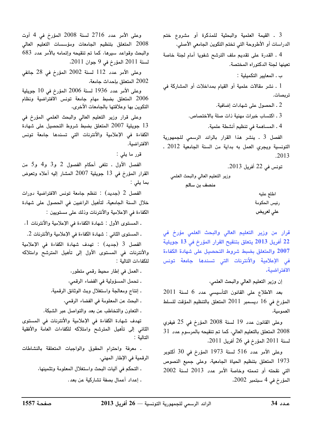3 . القيمة العلمية والبحثية للمذكرة أو مشروع ختم الدراسات أو الأطروحة التي تختم التكوين الجامعي الأصلي.

4 . القدرة على تقديم ملف الترشح شفويا أمام لجنة خاصة تعينها لجنة الدكتوراه المختصة.

ب ـ المعايير التكميلية :

1 . نشر مقالات علمية أو القيام بمداخلات أو المشاركة في تريصات.

2 ـ الحصول على شهادات إضافية.

3 . اكتساب خبرات مهنية ذات صلة بالاختصاص.

4 ـ المساهمة في تنظيم أنشطة علمية.

الفصل 3 ـ ينشر هذا القرار بالرائد الرسمي للجمهورية التونسية ويجري العمل به بداية من السنة الجامعية 2012 . .2013

تونس في 22 أفريل 2013.

وزير التعليم العالي والبحث العلمي منصف بن سالم

اطلع عليه رئيس الحكومة على لعريض

قرار من وزير التعليم العالى والبحث العلمى مؤرخ فى 22 أفريل 2013 يتعلق بتنقيح القرار المؤرخ في 13 جويلية 2007 والمتعلق بضبط شروط التحصيل على شهادة الكفاءة فى الإعلامية والأنترنات التى تسندها جامعة تونس الافتراضية.

إن وزير التعليم العالي والبحث العلمي،

بعد الاطلاع على القانون التأسيسي عدد 6 لسنة 2011 المؤرخ في 16 ديسمبر 2011 المتعلق بالتنظيم المؤقت للسلط العمومية،

وعلى القانون عدد 19 لسنة 2008 المؤرخ في 25 فيفري  $31$  المتعلق بالتعليم العالي، كما تم تنقيحه بالمرسوم عدد  $1$ لسنة 2011 المؤرخ في 26 أفريل 2011.

وعلى الأمر عدد 516 لسنة 1973 المؤرخ في 30 أكتوبر 1973 المتعلق بتنظيم الحياة الجامعية، وعلى جميع النصوص التي نقحته أو تممته وخاصة الأمر عدد 2013 لسنة 2002 المؤرخ في 4 سبتمبر 2002،

وعلى الأمر عدد 2716 لسنة 2008 المؤرخ في 4 أوت 2008 المتعلق بتنظيم الجامعات ومؤسسات التعليم العالى والبحث وقواعد سيرها، كما تم تنقيحه وإتمامه بالأمر عدد 683 لسنة 2011 المؤرخ في 9 جوان 2011.

وعلى الأمر عدد 112 لسنة 2002 المؤرخ في 28 جانفي 2002 المتعلق بإحداث جامعة،

وعلى الأمر عدد 1936 لسنة 2006 المؤرخ في 10 جويلية 2006 المتعلق بضبط مهام جامعة تونس الافتراضية ونظام التكوين بها وعلاقتها بالجامعات الأخرى،

وعلى قرار وزير التعليم العالى والبحث العلمى المؤرخ فى ا جويلية 2007 المتعلق بضبط شروط التحصيل على شهادة  $13$ الكفاءة فى الإعلامية والأنترنات التى تسندها جامعة تونس الافتراضية.

قرر ما يلي :

الفصل الأول . تلغى أحكام الفصول 2 و3 و4 و5 من القرار المؤرخ في 13 جويلية 2007 المشار إليه أعلاه وتعوض بما يلى :

الفصل 2 (جديد) : تنظم جامعة تونس الافتراضية دورات خلال السنة الجامعية، لتأهيل الراغبين في الحصول على شهادة الكفاءة في الإعلامية والأنترنات وذلك على مستويين :

. المستوى الأول : شهادة الكفاءة في الإعلامية والأنترنات 1،

ـ المستوى الثاني : شهادة الكفاءة في الإعلامية والأنترنات 2.

الفصل 3 (جديد) : تهدف شهادة الكفاءة في الإعلامية والأنترنات فى المستوى الأول إلى تأهيل المترشح وامتلاكه للكفاءات التالية:

. العمل في إطار محيط رقمي متطور،

. تحمل المسؤولية في الفضاء الرقمي،

. إنتاج ومعالجة واستغلال وبث الوثائق الرقمية،

ـ البحث عن المعلومة في الفضاء الرقمي،

. التعاون والتخاطب عن بعد والتواصل عبر الشبكة.

تهدف شهادة الكفاءة في الإعلامية والأنترنات في المستوى الثاني إلى تأهيل المترشح وامتلاكه للكفاءات العامة والأفقية التالية :

. معرفة واحترام الحقوق والواجبات المتعلقة بالنشاطات الرقمية في الإطار المهني،

> ـ التحكم في آليات البحث واستغلال المعلومة وتثمينها، . إعداد أعمال بصفة تشاركية عن بعد.